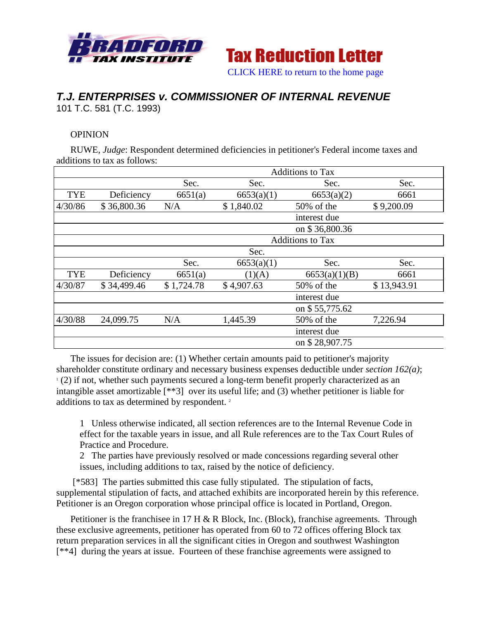



## *T.J. ENTERPRISES v. COMMISSIONER OF INTERNAL REVENUE* 101 T.C. 581 (T.C. 1993)

## **OPINION**

RUWE, *Judge*: Respondent determined deficiencies in petitioner's Federal income taxes and additions to tax as follows:

|            |             | <b>Additions to Tax</b> |            |                |             |
|------------|-------------|-------------------------|------------|----------------|-------------|
|            |             | Sec.                    | Sec.       | Sec.           | Sec.        |
| <b>TYE</b> | Deficiency  | 6651(a)                 | 6653(a)(1) | 6653(a)(2)     | 6661        |
| 4/30/86    | \$36,800.36 | N/A                     | \$1,840.02 | $50\%$ of the  | \$9,200.09  |
|            |             |                         |            | interest due   |             |
|            |             |                         |            | on \$36,800.36 |             |
|            |             | <b>Additions to Tax</b> |            |                |             |
|            | Sec.        |                         |            |                |             |
|            |             | Sec.                    | 6653(a)(1) | Sec.           | Sec.        |
| <b>TYE</b> | Deficiency  | 6651(a)                 | (1)(A)     | 6653(a)(1)(B)  | 6661        |
| 4/30/87    | \$34,499.46 | \$1,724.78              | \$4,907.63 | $50\%$ of the  | \$13,943.91 |
|            |             |                         |            | interest due   |             |
|            |             |                         |            | on \$55,775.62 |             |
| 4/30/88    | 24,099.75   | N/A                     | 1,445.39   | 50% of the     | 7,226.94    |
|            |             |                         |            | interest due   |             |
|            |             |                         |            | on \$28,907.75 |             |

The issues for decision are: (1) Whether certain amounts paid to petitioner's majority shareholder constitute ordinary and necessary business expenses deductible under *section 162(a)*;  $(2)$  if not, whether such payments secured a long-term benefit properly characterized as an intangible asset amortizable [\*\*3] over its useful life; and (3) whether petitioner is liable for additions to tax as determined by respondent.<sup>2</sup>

1 Unless otherwise indicated, all section references are to the Internal Revenue Code in effect for the taxable years in issue, and all Rule references are to the Tax Court Rules of Practice and Procedure.

2 The parties have previously resolved or made concessions regarding several other issues, including additions to tax, raised by the notice of deficiency.

[\*583] The parties submitted this case fully stipulated. The stipulation of facts, supplemental stipulation of facts, and attached exhibits are incorporated herein by this reference. Petitioner is an Oregon corporation whose principal office is located in Portland, Oregon.

Petitioner is the franchisee in 17 H & R Block, Inc. (Block), franchise agreements. Through these exclusive agreements, petitioner has operated from 60 to 72 offices offering Block tax return preparation services in all the significant cities in Oregon and southwest Washington [\*\*4] during the years at issue. Fourteen of these franchise agreements were assigned to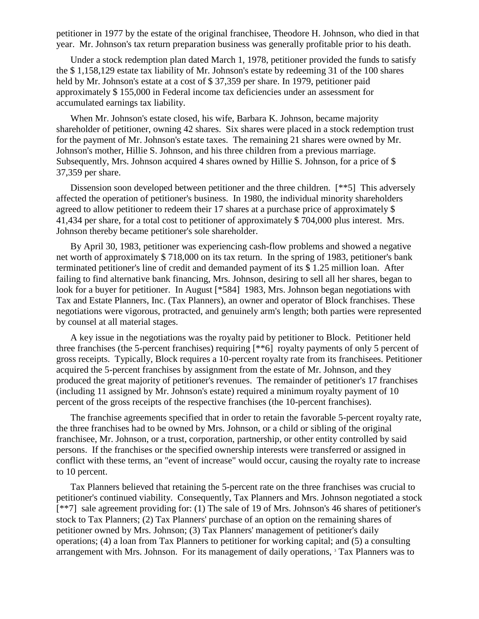petitioner in 1977 by the estate of the original franchisee, Theodore H. Johnson, who died in that year. Mr. Johnson's tax return preparation business was generally profitable prior to his death.

Under a stock redemption plan dated March 1, 1978, petitioner provided the funds to satisfy the \$ 1,158,129 estate tax liability of Mr. Johnson's estate by redeeming 31 of the 100 shares held by Mr. Johnson's estate at a cost of \$37,359 per share. In 1979, petitioner paid approximately \$ 155,000 in Federal income tax deficiencies under an assessment for accumulated earnings tax liability.

When Mr. Johnson's estate closed, his wife, Barbara K. Johnson, became majority shareholder of petitioner, owning 42 shares. Six shares were placed in a stock redemption trust for the payment of Mr. Johnson's estate taxes. The remaining 21 shares were owned by Mr. Johnson's mother, Hillie S. Johnson, and his three children from a previous marriage. Subsequently, Mrs. Johnson acquired 4 shares owned by Hillie S. Johnson, for a price of \$ 37,359 per share.

Dissension soon developed between petitioner and the three children. [\*\*5] This adversely affected the operation of petitioner's business. In 1980, the individual minority shareholders agreed to allow petitioner to redeem their 17 shares at a purchase price of approximately \$ 41,434 per share, for a total cost to petitioner of approximately \$ 704,000 plus interest. Mrs. Johnson thereby became petitioner's sole shareholder.

By April 30, 1983, petitioner was experiencing cash-flow problems and showed a negative net worth of approximately \$ 718,000 on its tax return. In the spring of 1983, petitioner's bank terminated petitioner's line of credit and demanded payment of its \$ 1.25 million loan. After failing to find alternative bank financing, Mrs. Johnson, desiring to sell all her shares, began to look for a buyer for petitioner. In August [\*584] 1983, Mrs. Johnson began negotiations with Tax and Estate Planners, Inc. (Tax Planners), an owner and operator of Block franchises. These negotiations were vigorous, protracted, and genuinely arm's length; both parties were represented by counsel at all material stages.

A key issue in the negotiations was the royalty paid by petitioner to Block. Petitioner held three franchises (the 5-percent franchises) requiring [\*\*6] royalty payments of only 5 percent of gross receipts. Typically, Block requires a 10-percent royalty rate from its franchisees. Petitioner acquired the 5-percent franchises by assignment from the estate of Mr. Johnson, and they produced the great majority of petitioner's revenues. The remainder of petitioner's 17 franchises (including 11 assigned by Mr. Johnson's estate) required a minimum royalty payment of 10 percent of the gross receipts of the respective franchises (the 10-percent franchises).

The franchise agreements specified that in order to retain the favorable 5-percent royalty rate, the three franchises had to be owned by Mrs. Johnson, or a child or sibling of the original franchisee, Mr. Johnson, or a trust, corporation, partnership, or other entity controlled by said persons. If the franchises or the specified ownership interests were transferred or assigned in conflict with these terms, an "event of increase" would occur, causing the royalty rate to increase to 10 percent.

Tax Planners believed that retaining the 5-percent rate on the three franchises was crucial to petitioner's continued viability. Consequently, Tax Planners and Mrs. Johnson negotiated a stock [\*\*7] sale agreement providing for: (1) The sale of 19 of Mrs. Johnson's 46 shares of petitioner's stock to Tax Planners; (2) Tax Planners' purchase of an option on the remaining shares of petitioner owned by Mrs. Johnson; (3) Tax Planners' management of petitioner's daily operations; (4) a loan from Tax Planners to petitioner for working capital; and (5) a consulting arrangement with Mrs. Johnson. For its management of daily operations,  $3$  Tax Planners was to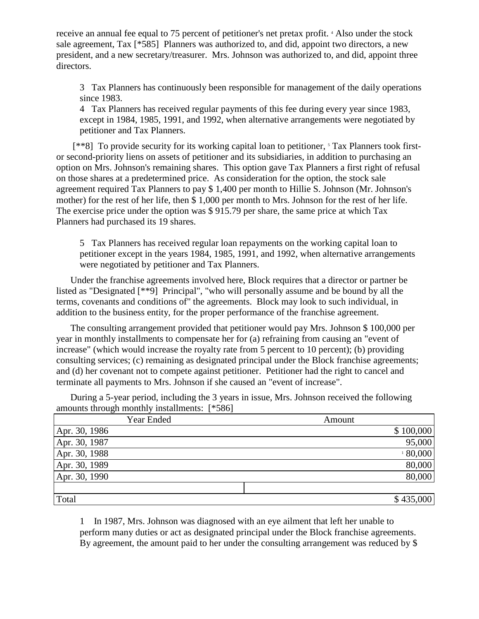receive an annual fee equal to 75 percent of petitioner's net pretax profit. 4 Also under the stock sale agreement, Tax [\*585] Planners was authorized to, and did, appoint two directors, a new president, and a new secretary/treasurer. Mrs. Johnson was authorized to, and did, appoint three directors.

3 Tax Planners has continuously been responsible for management of the daily operations since 1983.

4 Tax Planners has received regular payments of this fee during every year since 1983, except in 1984, 1985, 1991, and 1992, when alternative arrangements were negotiated by petitioner and Tax Planners.

[\*\*8] To provide security for its working capital loan to petitioner, <sup>5</sup> Tax Planners took firstor second-priority liens on assets of petitioner and its subsidiaries, in addition to purchasing an option on Mrs. Johnson's remaining shares. This option gave Tax Planners a first right of refusal on those shares at a predetermined price. As consideration for the option, the stock sale agreement required Tax Planners to pay \$ 1,400 per month to Hillie S. Johnson (Mr. Johnson's mother) for the rest of her life, then \$ 1,000 per month to Mrs. Johnson for the rest of her life. The exercise price under the option was \$ 915.79 per share, the same price at which Tax Planners had purchased its 19 shares.

5 Tax Planners has received regular loan repayments on the working capital loan to petitioner except in the years 1984, 1985, 1991, and 1992, when alternative arrangements were negotiated by petitioner and Tax Planners.

Under the franchise agreements involved here, Block requires that a director or partner be listed as "Designated [\*\*9] Principal", "who will personally assume and be bound by all the terms, covenants and conditions of" the agreements. Block may look to such individual, in addition to the business entity, for the proper performance of the franchise agreement.

The consulting arrangement provided that petitioner would pay Mrs. Johnson \$ 100,000 per year in monthly installments to compensate her for (a) refraining from causing an "event of increase" (which would increase the royalty rate from 5 percent to 10 percent); (b) providing consulting services; (c) remaining as designated principal under the Block franchise agreements; and (d) her covenant not to compete against petitioner. Petitioner had the right to cancel and terminate all payments to Mrs. Johnson if she caused an "event of increase".

During a 5-year period, including the 3 years in issue, Mrs. Johnson received the following amounts through monthly installments: [\*586]

| Year Ended    | Amount    |
|---------------|-----------|
| Apr. 30, 1986 | \$100,000 |
| Apr. 30, 1987 | 95,000    |
| Apr. 30, 1988 | 180,000   |
| Apr. 30, 1989 | 80,000    |
| Apr. 30, 1990 | 80,000    |
|               |           |
| Total         | \$435,000 |

1 In 1987, Mrs. Johnson was diagnosed with an eye ailment that left her unable to perform many duties or act as designated principal under the Block franchise agreements. By agreement, the amount paid to her under the consulting arrangement was reduced by \$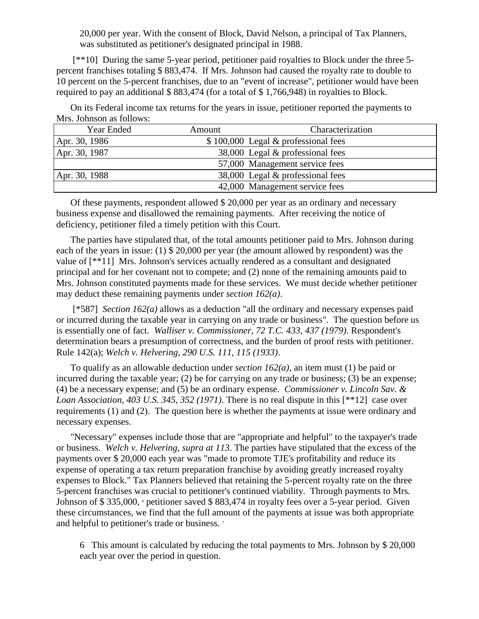20,000 per year. With the consent of Block, David Nelson, a principal of Tax Planners, was substituted as petitioner's designated principal in 1988.

[\*\*10] During the same 5-year period, petitioner paid royalties to Block under the three 5 percent franchises totaling \$ 883,474. If Mrs. Johnson had caused the royalty rate to double to 10 percent on the 5-percent franchises, due to an "event of increase", petitioner would have been required to pay an additional \$ 883,474 (for a total of \$ 1,766,948) in royalties to Block.

On its Federal income tax returns for the years in issue, petitioner reported the payments to Mrs. Johnson as follows:

| Year Ended    | Amount | Characterization                    |
|---------------|--------|-------------------------------------|
| Apr. 30, 1986 |        | \$100,000 Legal & professional fees |
| Apr. 30, 1987 |        | 38,000 Legal & professional fees    |
|               |        | 57,000 Management service fees      |
| Apr. 30, 1988 |        | 38,000 Legal & professional fees    |
|               |        | 42,000 Management service fees      |

Of these payments, respondent allowed \$ 20,000 per year as an ordinary and necessary business expense and disallowed the remaining payments. After receiving the notice of deficiency, petitioner filed a timely petition with this Court.

The parties have stipulated that, of the total amounts petitioner paid to Mrs. Johnson during each of the years in issue: (1) \$ 20,000 per year (the amount allowed by respondent) was the value of [\*\*11] Mrs. Johnson's services actually rendered as a consultant and designated principal and for her covenant not to compete; and (2) none of the remaining amounts paid to Mrs. Johnson constituted payments made for these services. We must decide whether petitioner may deduct these remaining payments under *section 162(a)*.

[\*587] *Section 162(a)* allows as a deduction "all the ordinary and necessary expenses paid or incurred during the taxable year in carrying on any trade or business". The question before us is essentially one of fact. *Walliser v. Commissioner, 72 T.C. 433, 437 (1979)*. Respondent's determination bears a presumption of correctness, and the burden of proof rests with petitioner. Rule 142(a); *Welch v. Helvering, 290 U.S. 111, 115 (1933)*.

To qualify as an allowable deduction under *section 162(a)*, an item must (1) be paid or incurred during the taxable year; (2) be for carrying on any trade or business; (3) be an expense; (4) be a necessary expense; and (5) be an ordinary expense. *Commissioner v. Lincoln Sav. & Loan Association, 403 U.S. 345, 352 (1971)*. There is no real dispute in this [\*\*12] case over requirements (1) and (2). The question here is whether the payments at issue were ordinary and necessary expenses.

"Necessary" expenses include those that are "appropriate and helpful" to the taxpayer's trade or business. *Welch v. Helvering, supra at 113*. The parties have stipulated that the excess of the payments over \$ 20,000 each year was "made to promote TJE's profitability and reduce its expense of operating a tax return preparation franchise by avoiding greatly increased royalty expenses to Block." Tax Planners believed that retaining the 5-percent royalty rate on the three 5-percent franchises was crucial to petitioner's continued viability. Through payments to Mrs. Johnson of \$335,000, opetitioner saved \$883,474 in royalty fees over a 5-year period. Given these circumstances, we find that the full amount of the payments at issue was both appropriate and helpful to petitioner's trade or business. <sup>7</sup>

6 This amount is calculated by reducing the total payments to Mrs. Johnson by \$ 20,000 each year over the period in question.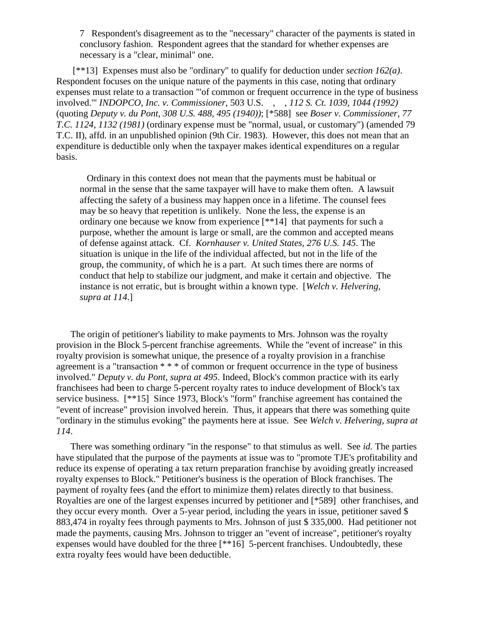7 Respondent's disagreement as to the "necessary" character of the payments is stated in conclusory fashion. Respondent agrees that the standard for whether expenses are necessary is a "clear, minimal" one.

[\*\*13] Expenses must also be "ordinary" to qualify for deduction under *section 162(a)*. Respondent focuses on the unique nature of the payments in this case, noting that ordinary expenses must relate to a transaction "'of common or frequent occurrence in the type of business involved." *INDOPCO, Inc. v. Commissioner*, 503 U.S., , 112 S. Ct. 1039, 1044 (1992) (quoting *Deputy v. du Pont, 308 U.S. 488, 495 (1940))*; [\*588] see *Boser v. Commissioner, 77 T.C. 1124, 1132 (1981)* (ordinary expense must be "normal, usual, or customary") (amended 79 T.C. II), affd. in an unpublished opinion (9th Cir. 1983). However, this does not mean that an expenditure is deductible only when the taxpayer makes identical expenditures on a regular basis.

 Ordinary in this context does not mean that the payments must be habitual or normal in the sense that the same taxpayer will have to make them often. A lawsuit affecting the safety of a business may happen once in a lifetime. The counsel fees may be so heavy that repetition is unlikely. None the less, the expense is an ordinary one because we know from experience [\*\*14] that payments for such a purpose, whether the amount is large or small, are the common and accepted means of defense against attack. Cf. *Kornhauser v. United States, 276 U.S. 145*. The situation is unique in the life of the individual affected, but not in the life of the group, the community, of which he is a part. At such times there are norms of conduct that help to stabilize our judgment, and make it certain and objective. The instance is not erratic, but is brought within a known type. [*Welch v. Helvering, supra at 114*.]

The origin of petitioner's liability to make payments to Mrs. Johnson was the royalty provision in the Block 5-percent franchise agreements. While the "event of increase" in this royalty provision is somewhat unique, the presence of a royalty provision in a franchise agreement is a "transaction \* \* \* of common or frequent occurrence in the type of business involved." *Deputy v. du Pont, supra at 495*. Indeed, Block's common practice with its early franchisees had been to charge 5-percent royalty rates to induce development of Block's tax service business. [\*\*15] Since 1973, Block's "form" franchise agreement has contained the "event of increase" provision involved herein. Thus, it appears that there was something quite "ordinary in the stimulus evoking" the payments here at issue. See *Welch v. Helvering, supra at 114*.

There was something ordinary "in the response" to that stimulus as well. See *id.* The parties have stipulated that the purpose of the payments at issue was to "promote TJE's profitability and reduce its expense of operating a tax return preparation franchise by avoiding greatly increased royalty expenses to Block." Petitioner's business is the operation of Block franchises. The payment of royalty fees (and the effort to minimize them) relates directly to that business. Royalties are one of the largest expenses incurred by petitioner and [\*589] other franchises, and they occur every month. Over a 5-year period, including the years in issue, petitioner saved \$ 883,474 in royalty fees through payments to Mrs. Johnson of just \$ 335,000. Had petitioner not made the payments, causing Mrs. Johnson to trigger an "event of increase", petitioner's royalty expenses would have doubled for the three [\*\*16] 5-percent franchises. Undoubtedly, these extra royalty fees would have been deductible.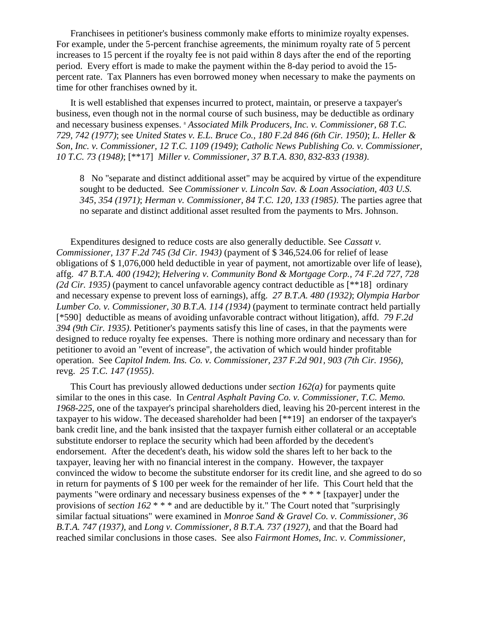Franchisees in petitioner's business commonly make efforts to minimize royalty expenses. For example, under the 5-percent franchise agreements, the minimum royalty rate of 5 percent increases to 15 percent if the royalty fee is not paid within 8 days after the end of the reporting period. Every effort is made to make the payment within the 8-day period to avoid the 15 percent rate. Tax Planners has even borrowed money when necessary to make the payments on time for other franchises owned by it.

It is well established that expenses incurred to protect, maintain, or preserve a taxpayer's business, even though not in the normal course of such business, may be deductible as ordinary and necessary business expenses. <sup>8</sup> *Associated Milk Producers, Inc. v. Commissioner, 68 T.C. 729, 742 (1977)*; see *United States v. E.L. Bruce Co., 180 F.2d 846 (6th Cir. 1950)*; *L. Heller & Son, Inc. v. Commissioner, 12 T.C. 1109 (1949)*; *Catholic News Publishing Co. v. Commissioner, 10 T.C. 73 (1948)*; [\*\*17] *Miller v. Commissioner, 37 B.T.A. 830, 832-833 (1938)*.

8 No "separate and distinct additional asset" may be acquired by virtue of the expenditure sought to be deducted. See *Commissioner v. Lincoln Sav. & Loan Association, 403 U.S. 345, 354 (1971)*; *Herman v. Commissioner, 84 T.C. 120, 133 (1985)*. The parties agree that no separate and distinct additional asset resulted from the payments to Mrs. Johnson.

Expenditures designed to reduce costs are also generally deductible. See *Cassatt v. Commissioner, 137 F.2d 745 (3d Cir. 1943)* (payment of \$ 346,524.06 for relief of lease obligations of \$ 1,076,000 held deductible in year of payment, not amortizable over life of lease), affg. *47 B.T.A. 400 (1942)*; *Helvering v. Community Bond & Mortgage Corp., 74 F.2d 727, 728 (2d Cir. 1935)* (payment to cancel unfavorable agency contract deductible as [\*\*18] ordinary and necessary expense to prevent loss of earnings), affg. *27 B.T.A. 480 (1932)*; *Olympia Harbor Lumber Co. v. Commissioner, 30 B.T.A. 114 (1934)* (payment to terminate contract held partially [\*590] deductible as means of avoiding unfavorable contract without litigation), affd. *79 F.2d 394 (9th Cir. 1935)*. Petitioner's payments satisfy this line of cases, in that the payments were designed to reduce royalty fee expenses. There is nothing more ordinary and necessary than for petitioner to avoid an "event of increase", the activation of which would hinder profitable operation. See *Capitol Indem. Ins. Co. v. Commissioner, 237 F.2d 901, 903 (7th Cir. 1956)*, revg. *25 T.C. 147 (1955)*.

This Court has previously allowed deductions under *section 162(a)* for payments quite similar to the ones in this case. In *Central Asphalt Paving Co. v. Commissioner, T.C. Memo. 1968-225*, one of the taxpayer's principal shareholders died, leaving his 20-percent interest in the taxpayer to his widow. The deceased shareholder had been [\*\*19] an endorser of the taxpayer's bank credit line, and the bank insisted that the taxpayer furnish either collateral or an acceptable substitute endorser to replace the security which had been afforded by the decedent's endorsement. After the decedent's death, his widow sold the shares left to her back to the taxpayer, leaving her with no financial interest in the company. However, the taxpayer convinced the widow to become the substitute endorser for its credit line, and she agreed to do so in return for payments of \$ 100 per week for the remainder of her life. This Court held that the payments "were ordinary and necessary business expenses of the \* \* \* [taxpayer] under the provisions of *section 162* \* \* \* and are deductible by it." The Court noted that "surprisingly similar factual situations" were examined in *Monroe Sand & Gravel Co. v. Commissioner, 36 B.T.A. 747 (1937)*, and *Long v. Commissioner, 8 B.T.A. 737 (1927)*, and that the Board had reached similar conclusions in those cases. See also *Fairmont Homes, Inc. v. Commissioner,*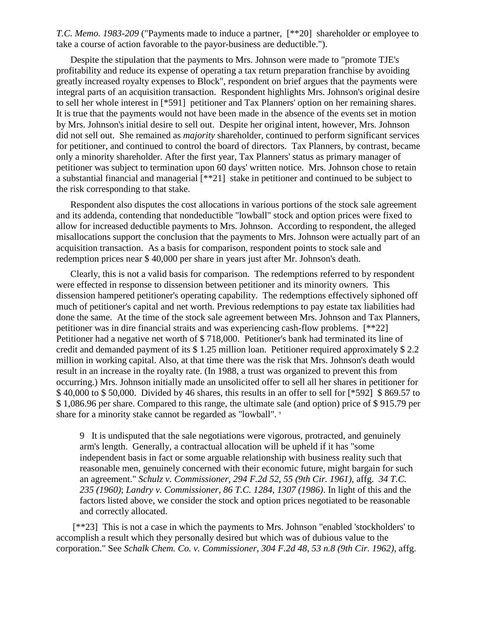*T.C. Memo. 1983-209* ("Payments made to induce a partner, [\*\*20] shareholder or employee to take a course of action favorable to the payor-business are deductible.").

Despite the stipulation that the payments to Mrs. Johnson were made to "promote TJE's profitability and reduce its expense of operating a tax return preparation franchise by avoiding greatly increased royalty expenses to Block", respondent on brief argues that the payments were integral parts of an acquisition transaction. Respondent highlights Mrs. Johnson's original desire to sell her whole interest in [\*591] petitioner and Tax Planners' option on her remaining shares. It is true that the payments would not have been made in the absence of the events set in motion by Mrs. Johnson's initial desire to sell out. Despite her original intent, however, Mrs. Johnson did not sell out. She remained as *majority* shareholder, continued to perform significant services for petitioner, and continued to control the board of directors. Tax Planners, by contrast, became only a minority shareholder. After the first year, Tax Planners' status as primary manager of petitioner was subject to termination upon 60 days' written notice. Mrs. Johnson chose to retain a substantial financial and managerial [\*\*21] stake in petitioner and continued to be subject to the risk corresponding to that stake.

Respondent also disputes the cost allocations in various portions of the stock sale agreement and its addenda, contending that nondeductible "lowball" stock and option prices were fixed to allow for increased deductible payments to Mrs. Johnson. According to respondent, the alleged misallocations support the conclusion that the payments to Mrs. Johnson were actually part of an acquisition transaction. As a basis for comparison, respondent points to stock sale and redemption prices near \$ 40,000 per share in years just after Mr. Johnson's death.

Clearly, this is not a valid basis for comparison. The redemptions referred to by respondent were effected in response to dissension between petitioner and its minority owners. This dissension hampered petitioner's operating capability. The redemptions effectively siphoned off much of petitioner's capital and net worth. Previous redemptions to pay estate tax liabilities had done the same. At the time of the stock sale agreement between Mrs. Johnson and Tax Planners, petitioner was in dire financial straits and was experiencing cash-flow problems. [\*\*22] Petitioner had a negative net worth of \$ 718,000. Petitioner's bank had terminated its line of credit and demanded payment of its \$ 1.25 million loan. Petitioner required approximately \$ 2.2 million in working capital. Also, at that time there was the risk that Mrs. Johnson's death would result in an increase in the royalty rate. (In 1988, a trust was organized to prevent this from occurring.) Mrs. Johnson initially made an unsolicited offer to sell all her shares in petitioner for \$ 40,000 to \$ 50,000. Divided by 46 shares, this results in an offer to sell for [\*592] \$ 869.57 to \$ 1,086.96 per share. Compared to this range, the ultimate sale (and option) price of \$ 915.79 per share for a minority stake cannot be regarded as "lowball".  $\degree$ 

9 It is undisputed that the sale negotiations were vigorous, protracted, and genuinely arm's length. Generally, a contractual allocation will be upheld if it has "some independent basis in fact or some arguable relationship with business reality such that reasonable men, genuinely concerned with their economic future, might bargain for such an agreement." *Schulz v. Commissioner, 294 F.2d 52, 55 (9th Cir. 1961)*, affg. *34 T.C. 235 (1960)*; *Landry v. Commissioner, 86 T.C. 1284, 1307 (1986)*. In light of this and the factors listed above, we consider the stock and option prices negotiated to be reasonable and correctly allocated.

[\*\*23] This is not a case in which the payments to Mrs. Johnson "enabled 'stockholders' to accomplish a result which they personally desired but which was of dubious value to the corporation." See *Schalk Chem. Co. v. Commissioner, 304 F.2d 48, 53 n.8 (9th Cir. 1962)*, affg.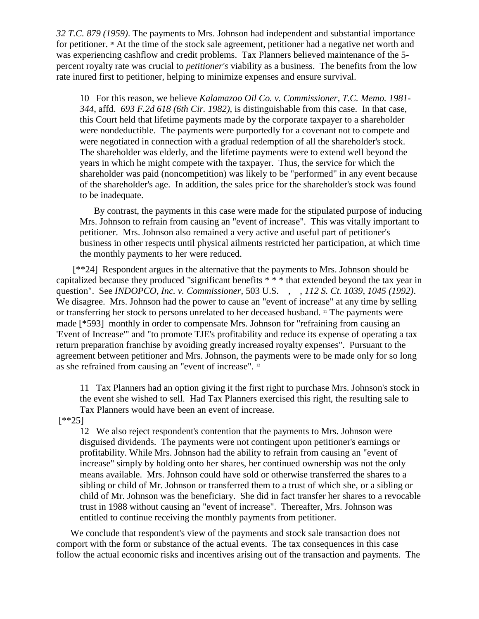*32 T.C. 879 (1959)*. The payments to Mrs. Johnson had independent and substantial importance for petitioner. <sup>10</sup> At the time of the stock sale agreement, petitioner had a negative net worth and was experiencing cashflow and credit problems. Tax Planners believed maintenance of the 5 percent royalty rate was crucial to *petitioner's* viability as a business. The benefits from the low rate inured first to petitioner, helping to minimize expenses and ensure survival.

10 For this reason, we believe *Kalamazoo Oil Co. v. Commissioner, T.C. Memo. 1981- 344*, affd. *693 F.2d 618 (6th Cir. 1982)*, is distinguishable from this case. In that case, this Court held that lifetime payments made by the corporate taxpayer to a shareholder were nondeductible. The payments were purportedly for a covenant not to compete and were negotiated in connection with a gradual redemption of all the shareholder's stock. The shareholder was elderly, and the lifetime payments were to extend well beyond the years in which he might compete with the taxpayer. Thus, the service for which the shareholder was paid (noncompetition) was likely to be "performed" in any event because of the shareholder's age. In addition, the sales price for the shareholder's stock was found to be inadequate.

By contrast, the payments in this case were made for the stipulated purpose of inducing Mrs. Johnson to refrain from causing an "event of increase". This was vitally important to petitioner. Mrs. Johnson also remained a very active and useful part of petitioner's business in other respects until physical ailments restricted her participation, at which time the monthly payments to her were reduced.

[\*\*24] Respondent argues in the alternative that the payments to Mrs. Johnson should be capitalized because they produced "significant benefits \* \* \* that extended beyond the tax year in question". See *INDOPCO, Inc. v. Commissioner*, 503 U.S. , , *112 S. Ct. 1039, 1045 (1992)*. We disagree. Mrs. Johnson had the power to cause an "event of increase" at any time by selling or transferring her stock to persons unrelated to her deceased husband. <sup>11</sup> The payments were made [\*593] monthly in order to compensate Mrs. Johnson for "refraining from causing an 'Event of Increase'" and "to promote TJE's profitability and reduce its expense of operating a tax return preparation franchise by avoiding greatly increased royalty expenses". Pursuant to the agreement between petitioner and Mrs. Johnson, the payments were to be made only for so long as she refrained from causing an "event of increase". <sup>12</sup>

11 Tax Planners had an option giving it the first right to purchase Mrs. Johnson's stock in the event she wished to sell. Had Tax Planners exercised this right, the resulting sale to Tax Planners would have been an event of increase.

[\*\*25]

12 We also reject respondent's contention that the payments to Mrs. Johnson were disguised dividends. The payments were not contingent upon petitioner's earnings or profitability. While Mrs. Johnson had the ability to refrain from causing an "event of increase" simply by holding onto her shares, her continued ownership was not the only means available. Mrs. Johnson could have sold or otherwise transferred the shares to a sibling or child of Mr. Johnson or transferred them to a trust of which she, or a sibling or child of Mr. Johnson was the beneficiary. She did in fact transfer her shares to a revocable trust in 1988 without causing an "event of increase". Thereafter, Mrs. Johnson was entitled to continue receiving the monthly payments from petitioner.

We conclude that respondent's view of the payments and stock sale transaction does not comport with the form or substance of the actual events. The tax consequences in this case follow the actual economic risks and incentives arising out of the transaction and payments. The